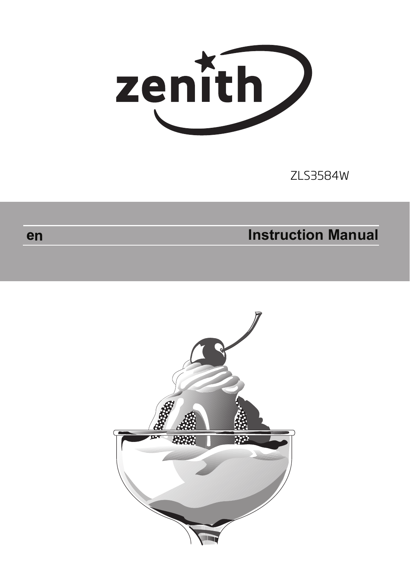

ZLS3584W

# **Instruction Manual**



en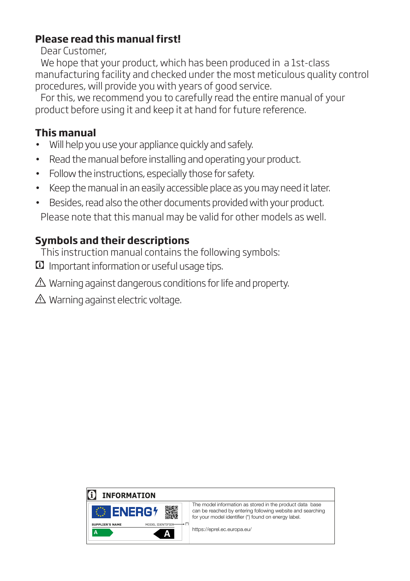## **Please read this manual first!**

Dear Customer,

We hope that your product, which has been produced in a 1st-class manufacturing facility and checked under the most meticulous quality control procedures, will provide you with years of good service.

For this, we recommend you to carefully read the entire manual of your product before using it and keep it at hand for future reference.

## **This manual**

- Will help you use your appliance quickly and safely.
- Read the manual before installing and operating your product.
- Follow the instructions, especially those for safety.
- Keep the manual in an easily accessible place as you may need it later.
- Besides, read also the other documents provided with your product. Please note that this manual may be valid for other models as well.

# **Symbols and their descriptions**

This instruction manual contains the following symbols:

C Important information or useful usage tips.

 $\triangle$  Warning against dangerous conditions for life and property.

 $\triangle$  Warning against electric voltage.

## C **INFORMATION**



The model information as stored in the product data base can be reached by entering following website and searching for your model identifier (\*) found on energy label.

https://eprel.ec.europa.eu/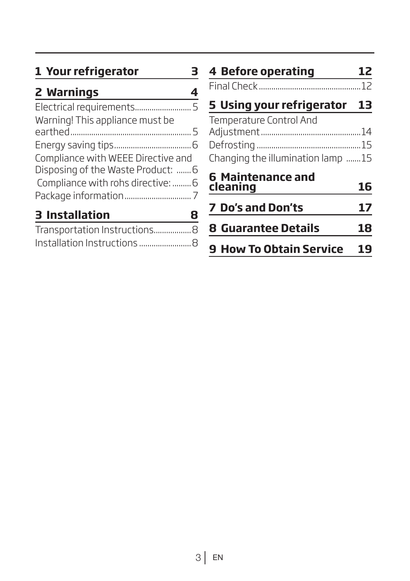# **1 Your refrigerator 3**

| 2 Warnings |  |
|------------|--|
|            |  |

| Warning! This appliance must be    |  |
|------------------------------------|--|
|                                    |  |
|                                    |  |
| Compliance with WEEE Directive and |  |
| Disposing of the Waste Product:  6 |  |
| Compliance with rohs directive:  6 |  |
|                                    |  |
| <b>3 Installation</b>              |  |
|                                    |  |

| Transportation Instructions 8 |  |
|-------------------------------|--|
|                               |  |

| <b>4 Before operating</b>                                    |    |
|--------------------------------------------------------------|----|
|                                                              |    |
| 5 Using your refrigerator 13                                 |    |
| Temperature Control And<br>Changing the illumination lamp 15 |    |
| <b>6 Maintenance and</b><br>cleaning                         | 16 |
| <b>7 Do's and Don'ts</b>                                     | 17 |
| <b>8 Guarantee Details</b>                                   | 18 |
| <b>9 How To Obtain Service</b>                               |    |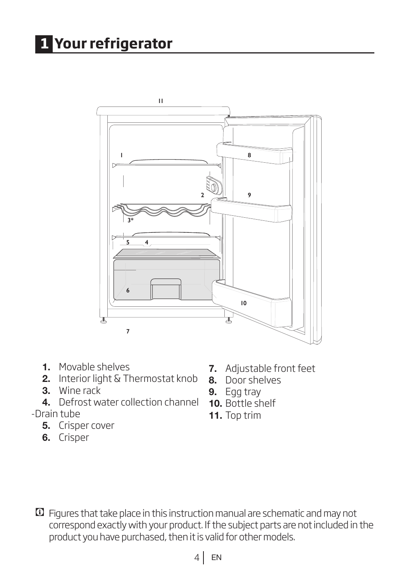# **1 Your refrigerator**



- 1. Movable shelves
- 2. Interior light & Thermostat knob
- 3. Wine rack
- 4. Defrost water collection channel
- -Drain tube
	- 5. Crisper cover
	- 6. Crisper
- 7. Adjustable front feet
- 8. Door shelves
- 9. Egg tray
- 10. Bottle shelf
- 11. Top trim

C Figures that take place in this instruction manual are schematic and may not correspond exactly with your product. If the subject parts are not included in the product you have purchased, then it is valid for other models.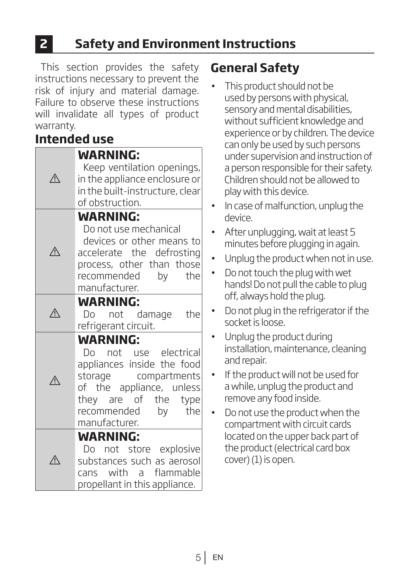# **2 Safety and Environment Instructions**

This section provides the safety instructions necessary to prevent the risk of injury and material damage. Failure to observe these instructions will invalidate all types of product warranty.

# **Intended use**

|     | WARNING:<br>Keep ventilation openings,<br>in the appliance enclosure or<br>in the built-instructure, clear<br>of obstruction.                                                                |
|-----|----------------------------------------------------------------------------------------------------------------------------------------------------------------------------------------------|
|     | <b>WARNING:</b><br>Do not use mechanical<br>devices or other means to<br>accelerate the defrosting<br>process, other than those<br>recommended by<br>the<br>manufacturer.                    |
|     | <b>WARNING:</b><br>Do not damage the<br>refrigerant circuit.                                                                                                                                 |
| ∕∖  | <b>WARNING:</b><br>Do not use electrical<br>appliances inside the food<br>storage compartments<br>of the appliance, unless<br>they are of the type<br>recommended by<br>the<br>manufacturer. |
| ⁄≬\ | <b>WARNING:</b><br>Do not store explosive<br>substances such as aerosol<br>cans with a flammable<br>propellant in this appliance.                                                            |

# **General Safety**

- This product should not be used by persons with physical, sensory and mental disabilities, without sufficient knowledge and experience or by children. The device can only be used by such persons under supervision and instruction of a person responsible for their safety. Children should not be allowed to play with this device.
- In case of malfunction, unplug the device.
- After unplugging, wait at least 5 minutes before plugging in again.
- Unplug the product when not in use.
- Do not touch the plug with wet hands! Do not pull the cable to plug off, always hold the plug.
- Do not plug in the refrigerator if the socket is loose.
- Unplug the product during installation, maintenance, cleaning and repair.
- If the product will not be used for a while, unplug the product and remove any food inside.
- Do not use the product when the compartment with circuit cards located on the upper back part of the product (electrical card box cover) (1) is open.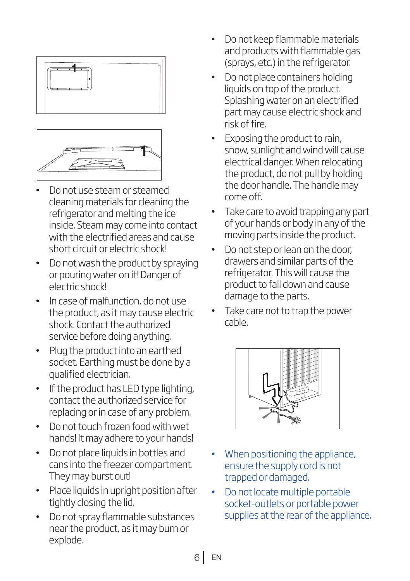



- Do not use steam or steamed cleaning materials for cleaning the refrigerator and melting the ice inside. Steam may come into contact with the electrified areas and cause short circuit or electric shock!
- Do not wash the product by spraying or pouring water on it! Danger of electric shock!
- In case of malfunction, do not use the product, as it may cause electric shock. Contact the authorized service before doing anything.
- Plug the product into an earthed socket. Earthing must be done by a qualified electrician.
- If the product has LED type lighting, contact the authorized service for replacing or in case of any problem.
- Do not touch frozen food with wet hands! It may adhere to your hands!
- Do not place liquids in bottles and cans into the freezer compartment. They may burst out!
- Place liquids in upright position after tightly closing the lid.
- Do not spray flammable substances near the product, as it may burn or explode.
- Do not keep flammable materials and products with flammable gas (sprays, etc.) in the refrigerator.
- Do not place containers holding liquids on top of the product. Splashing water on an electrified part may cause electric shock and risk of fire.
- Exposing the product to rain, snow, sunlight and wind will cause electrical danger. When relocating the product, do not pull by holding the door handle. The handle may come off.
- Take care to avoid trapping any part of your hands or body in any of the moving parts inside the product.
- Do not step or lean on the door, drawers and similar parts of the refrigerator. This will cause the product to fall down and cause damage to the parts.
- Take care not to trap the power cable.



- When positioning the appliance, ensure the supply cord is not trapped or damaged.
- Do not locate multiple portable socket-outlets or portable power supplies at the rear of the appliance.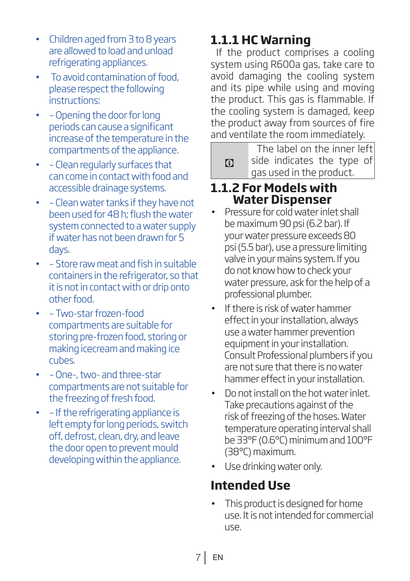- Children aged from 3 to 8 years are allowed to load and unload refrigerating appliances.
- To avoid contamination of food, please respect the following instructions:
- – Opening the door for long periods can cause a significant increase of the temperature in the compartments of the appliance.
- – Clean regularly surfaces that can come in contact with food and accessible drainage systems.
- – Clean water tanks if they have not been used for 48 h; flush the water system connected to a water supply if water has not been drawn for 5 days.
- – Store raw meat and fish in suitable containers in the refrigerator, so that it is not in contact with or drip onto other food.
- – Two-star frozen-food compartments are suitable for storing pre-frozen food, storing or making icecream and making ice cubes.
- – One-, two- and three-star compartments are not suitable for the freezing of fresh food.
- – If the refrigerating appliance is left empty for long periods, switch off, defrost, clean, dry, and leave the door open to prevent mould developing within the appliance.

# **1.1.1 HC Warning**

If the product comprises a cooling system using R600a gas, take care to avoid damaging the cooling system and its pipe while using and moving the product. This gas is flammable. If the cooling system is damaged, keep the product away from sources of fire and ventilate the room immediately.

 $\Omega$ The label on the inner left side indicates the type of gas used in the product.

## **1.1.2 For Models with Water Dispenser**

- Pressure for cold water inlet shall be maximum 90 psi (6.2 bar). If your water pressure exceeds 80 psi (5.5 bar), use a pressure limiting valve in your mains system. If you do not know how to check your water pressure, ask for the help of a professional plumber.
- If there is risk of water hammer effect in your installation, always use a water hammer prevention equipment in your installation. Consult Professional plumbers if you are not sure that there is no water hammer effect in your installation.
- Do not install on the hot water inlet. Take precautions against of the risk of freezing of the hoses. Water temperature operating interval shall be 33°F (0.6°C) minimum and 100°F (38°C) maximum.
- Use drinking water only.

# **Intended Use**

This product is designed for home use. It is not intended for commercial use.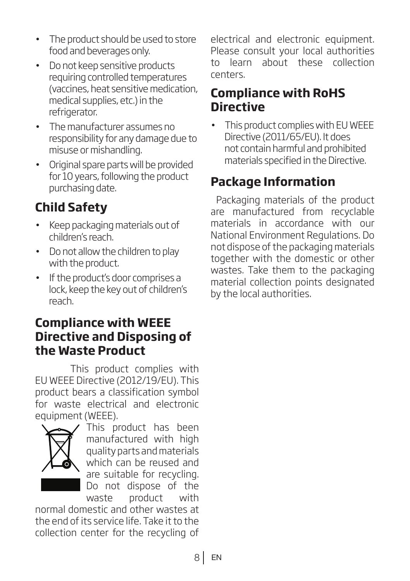- The product should be used to store food and beverages only.
- Do not keep sensitive products requiring controlled temperatures (vaccines, heat sensitive medication, medical supplies, etc.) in the refrigerator.
- The manufacturer assumes no responsibility for any damage due to misuse or mishandling.
- Original spare parts will be provided for 10 years, following the product purchasing date.

# **Child Safety**

- Keep packaging materials out of children's reach.
- Do not allow the children to play with the product.
- If the product's door comprises a lock, keep the key out of children's reach.

# **Compliance with WEEE Directive and Disposing of the Waste Product**

This product complies with EU WEEE Directive (2012/19/EU). This product bears a classification symbol for waste electrical and electronic equipment (WEEE).



This product has been manufactured with high quality parts and materials which can be reused and are suitable for recycling. Do not dispose of the waste product with

normal domestic and other wastes at the end of its service life. Take it to the collection center for the recycling of electrical and electronic equipment. Please consult your local authorities<br>to learn, about, these collection about these collection centers.

# **Compliance with RoHS Directive**

• This product complies with EU WEEE Directive (2011/65/EU). It does not contain harmful and prohibited materials specified in the Directive.

# **Package Information**

Packaging materials of the product are manufactured from recyclable materials in accordance with our National Environment Regulations. Do not dispose of the packaging materials together with the domestic or other wastes. Take them to the packaging material collection points designated by the local authorities.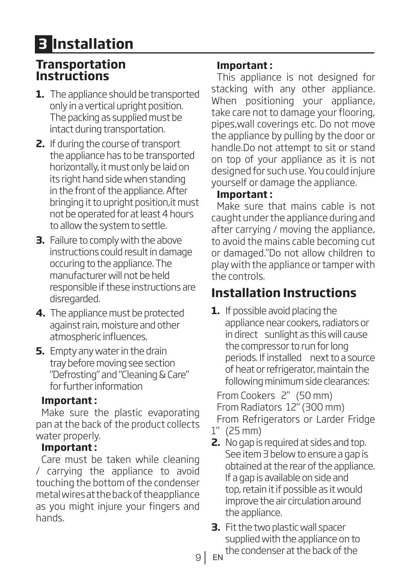# **3 Installation**

## **Transportation Instructions**

- **1.** The appliance should be transported only in a vertical upright position. The packing as supplied must be intact during transportation.
- **2.** If during the course of transport the appliance has to be transported horizontally, it must only be laid on its right hand side when standing in the front of the appliance. After bringing it to upright position,it must not be operated for at least 4 hours to allow the system to settle.
- **3.** Failure to comply with the above instructions could result in damage occuring to the appliance. The manufacturer will not be held responsible if these instructions are disregarded.
- **4.** The appliance must be protected against rain, moisture and other atmospheric influences.
- **5.** Empty any water in the drain tray before moving see section "Defrosting" and "Cleaning & Care" for further information

#### **Important :**

Make sure the plastic evaporating pan at the back of the product collects water properly.

#### **Important :**

Care must be taken while cleaning / carrying the appliance to avoid touching the bottom of the condenser metal wires at the back of theappliance as you might injure your fingers and hands.

### **Important :**

This appliance is not designed for stacking with any other appliance. When positioning your appliance, take care not to damage your flooring, pipes,wall coverings etc. Do not move the appliance by pulling by the door or handle.Do not attempt to sit or stand on top of your appliance as it is not designed for such use. You could injure yourself or damage the appliance.

### **Important :**

Make sure that mains cable is not caught under the appliance during and after carrying / moving the appliance, to avoid the mains cable becoming cut or damaged."Do not allow children to play with the appliance or tamper with the controls.

# **Installation Instructions**

**1.** If possible avoid placing the appliance near cookers, radiators or in direct sunlight as this will cause the compressor to run for long periods. If installed next to a source of heat or refrigerator, maintain the following minimum side clearances:

From Cookers 2" (50 mm) From Radiators 12" (300 mm) From Refrigerators or Larder Fridge 1" (25 mm)

- **2.** No gap is required at sides and top. See item 3 below to ensure a gap is obtained at the rear of the appliance. If a gap is available on side and top, retain it if possible as it would improve the air circulation around the appliance.
- **3.** Fit the two plastic wall spacer supplied with the appliance on to the condenser at the back of the

9 EN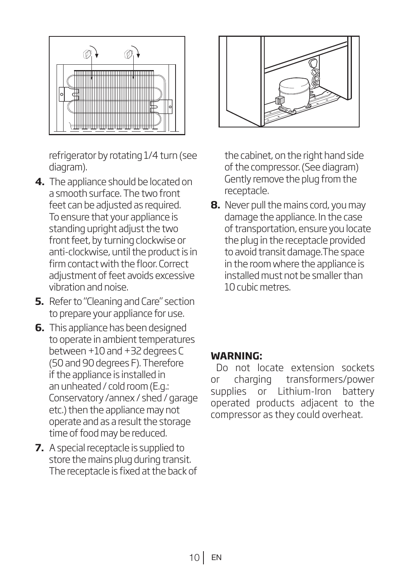

refrigerator by rotating 1/4 turn (see diagram).

- **4.** The appliance should be located on a smooth surface. The two front feet can be adjusted as required. To ensure that your appliance is standing upright adjust the two front feet, by turning clockwise or anti-clockwise, until the product is in firm contact with the floor. Correct adiustment of feet avoids excessive vibration and noise.
- **5.** Refer to "Cleaning and Care" section to prepare your appliance for use.
- **6.** This appliance has been designed to operate in ambient temperatures between +10 and +32 degrees C (50 and 90 degrees F). Therefore if the appliance is installed in an unheated / cold room (E.g.: Conservatory /annex / shed / garage etc.) then the appliance may not operate and as a result the storage time of food may be reduced.
- **7.** A special receptacle is supplied to store the mains plug during transit. The receptacle is fixed at the back of



the cabinet, on the right hand side of the compressor. (See diagram) Gently remove the plug from the receptacle.

**8.** Never pull the mains cord, you may damage the appliance. In the case of transportation, ensure you locate the plug in the receptacle provided to avoid transit damage.The space in the room where the appliance is installed must not be smaller than 10 cubic metres.

#### **WARNING:**

Do not locate extension sockets or charging transformers/power supplies or Lithium-Iron battery operated products adjacent to the compressor as they could overheat.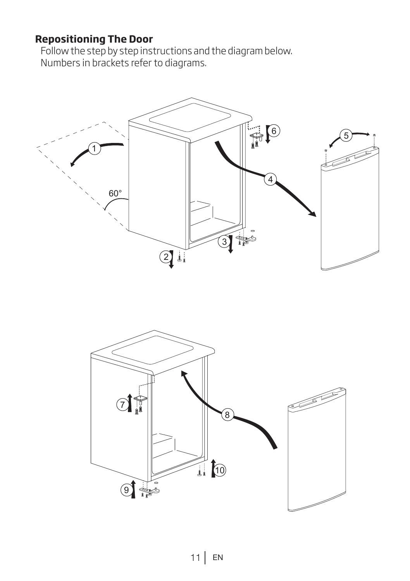## **Repositioning The Door**

Follow the step by step instructions and the diagram below. Numbers in brackets refer to diagrams.



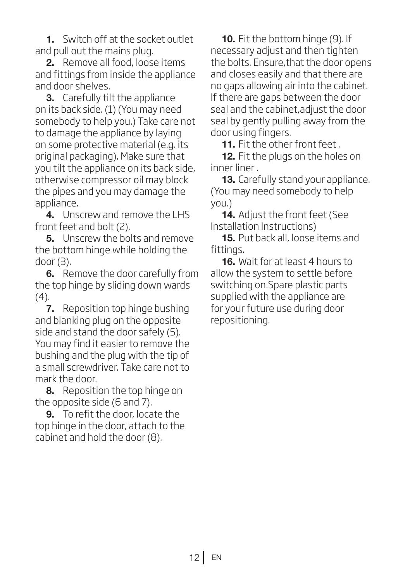1. Switch off at the socket outlet and pull out the mains plug.

2. Remove all food, loose items and fittings from inside the appliance and door shelves.

3. Carefully tilt the appliance on its back side. (1) (You may need somebody to help you.) Take care not to damage the appliance by laying on some protective material (e.g. its original packaging). Make sure that you tilt the appliance on its back side, otherwise compressor oil may block the pipes and you may damage the appliance.

4. Unscrew and remove the LHS front feet and bolt (2).

**5.** Unscrew the bolts and remove the bottom hinge while holding the door (3).

**6.** Remove the door carefully from the top hinge by sliding down wards  $(4).$ 

7. Reposition top hinge bushing and blanking plug on the opposite side and stand the door safely (5). You may find it easier to remove the bushing and the plug with the tip of a small screwdriver. Take care not to mark the door.

8. Reposition the top hinge on the opposite side (6 and 7).

9. To refit the door, locate the top hinge in the door, attach to the cabinet and hold the door (8).

10. Fit the bottom hinge (9). If necessary adjust and then tighten the bolts. Ensure,that the door opens and closes easily and that there are no gaps allowing air into the cabinet. If there are gaps between the door seal and the cabinet,adjust the door seal by gently pulling away from the door using fingers.

11. Fit the other front feet.

12. Fit the plugs on the holes on inner liner .

**13.** Carefully stand your appliance. (You may need somebody to help you.)

14. Adjust the front feet (See Installation Instructions)

15. Put back all, loose items and fittings.

16. Wait for at least 4 hours to allow the system to settle before switching on.Spare plastic parts supplied with the appliance are for your future use during door repositioning.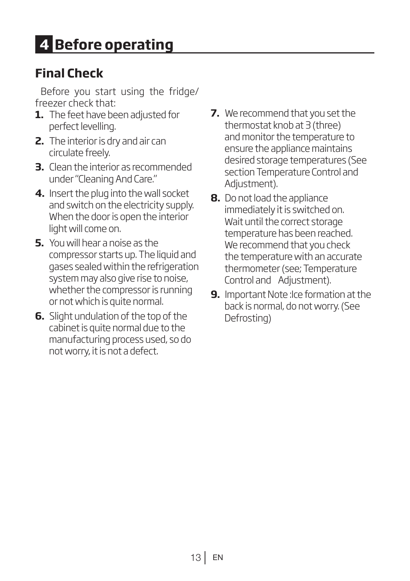# **Final Check**

Before you start using the fridge/ freezer check that:

- **1.** The feet have been adjusted for perfect levelling.
- **2.** The interior is dry and air can circulate freely.
- **3.** Clean the interior as recommended under "Cleaning And Care."
- **4.** Insert the plug into the wall socket and switch on the electricity supply. When the door is open the interior light will come on.
- **5.** You will hear a noise as the compressor starts up. The liquid and gases sealed within the refrigeration system may also give rise to noise, whether the compressor is running or not which is quite normal.
- **6.** Slight undulation of the top of the cabinet is quite normal due to the manufacturing process used, so do not worry, it is not a defect.
- **7.** We recommend that you set the thermostat knob at 3 (three) and monitor the temperature to ensure the appliance maintains desired storage temperatures (See section Temperature Control and Adjustment).
- **8.** Do not load the appliance immediately it is switched on. Wait until the correct storage temperature has been reached. We recommend that you check the temperature with an accurate thermometer (see; Temperature Control and Adjustment).
- **9.** Important Note : Ice formation at the back is normal, do not worry. (See Defrosting)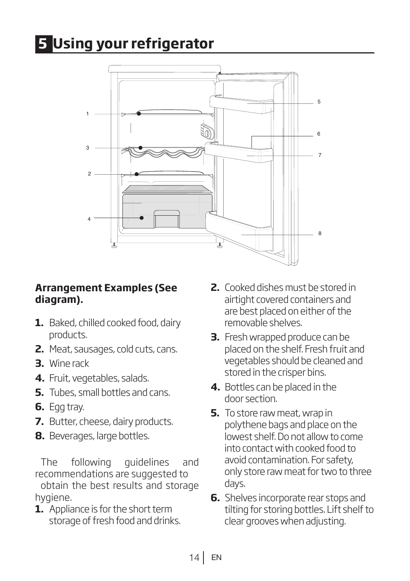# **5 Using your refrigerator**



### **Arrangement Examples (See diagram).**

- **1.** Baked, chilled cooked food, dairy products.
- **2.** Meat, sausages, cold cuts, cans.
- **3.** Wine rack
- **4.** Fruit, vegetables, salads.
- **5.** Tubes, small bottles and cans.
- **6.** Egg tray.
- **7.** Butter, cheese, dairy products.
- **8.** Beverages, large bottles.

The following guidelines and recommendations are suggested to obtain the best results and storage hygiene.

**1.** Appliance is for the short term storage of fresh food and drinks.

- **2.** Cooked dishes must be stored in airtight covered containers and are best placed on either of the removable shelves.
- **3.** Fresh wrapped produce can be placed on the shelf. Fresh fruit and vegetables should be cleaned and stored in the crisper bins.
- **4.** Bottles can be placed in the door section.
- **5.** To store raw meat, wrap in polythene bags and place on the lowest shelf. Do not allow to come into contact with cooked food to avoid contamination. For safety, only store raw meat for two to three days.
- **6.** Shelves incorporate rear stops and tilting for storing bottles. Lift shelf to clear grooves when adjusting.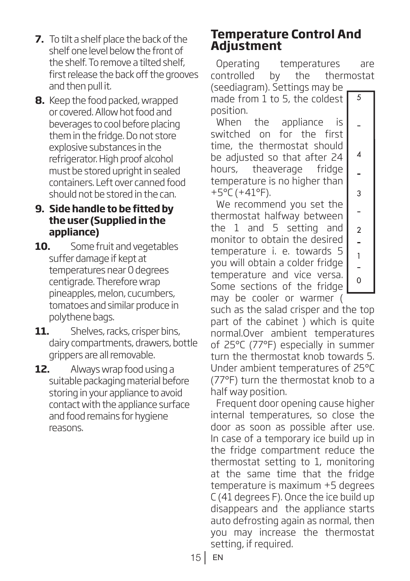- **7.** To tilt a shelf place the back of the shelf one level below the front of the shelf. To remove a tilted shelf, first release the back off the grooves and then pull it.
- **8.** Keep the food packed, wrapped or covered. Allow hot food and beverages to cool before placing them in the fridge. Do not store explosive substances in the refrigerator. High proof alcohol must be stored upright in sealed containers. Left over canned food should not be stored in the can.

### **9. Side handle to be fitted by the user (Supplied in the appliance)**

- **10.** Some fruit and vegetables suffer damage if kept at temperatures near 0 degrees centigrade. Therefore wrap pineapples, melon, cucumbers, tomatoes and similar produce in polythene bags.
- **11.** Shelves, racks, crisper bins, dairy compartments, drawers, bottle grippers are all removable.
- **12.** Always wrap food using a suitable packaging material before storing in your appliance to avoid contact with the appliance surface and food remains for hygiene reasons.

## **Temperature Control And Adjustment**

Operating temperatures are controlled by the thermostat

5

 $\overline{a}$ 

 $\overline{4}$ 

 $\overline{a}$ 3  $\overline{a}$  $\overline{2}$ L,  $\overline{1}$  $\overline{a}$  $\overline{O}$ 

(seediagram). Settings may be made from 1 to 5, the coldest position.

When the appliance is switched on for the first time, the thermostat should be adjusted so that after 24 hours, theaverage fridge temperature is no higher than  $+5^{\circ}$ C (+41°F).

We recommend you set the thermostat halfway between the 1 and 5 setting and monitor to obtain the desired temperature i. e. towards 5 you will obtain a colder fridge temperature and vice versa. Some sections of the fridge may be cooler or warmer (

such as the salad crisper and the top part of the cabinet ) which is quite normal.Over ambient temperatures of 25°C (77°F) especially in summer turn the thermostat knob towards 5. Under ambient temperatures of 25°C (77°F) turn the thermostat knob to a half way position.

Frequent door opening cause higher internal temperatures, so close the door as soon as possible after use. In case of a temporary ice build up in the fridge compartment reduce the thermostat setting to 1, monitoring at the same time that the fridge temperature is maximum +5 degrees C (41 degrees F). Once the ice build up disappears and the appliance starts auto defrosting again as normal, then you may increase the thermostat setting, if required.

15 EN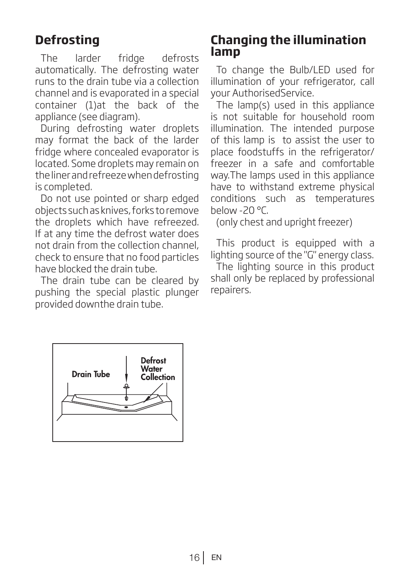# **Defrosting**

The larder fridge defrosts automatically. The defrosting water runs to the drain tube via a collection channel and is evaporated in a special container (1)at the back of the appliance (see diagram).

During defrosting water droplets may format the back of the larder fridge where concealed evaporator is located. Some droplets may remain on the liner and refreeze when defrosting is completed.

Do not use pointed or sharp edged objects such as knives, forks to remove the droplets which have refreezed. If at any time the defrost water does not drain from the collection channel, check to ensure that no food particles have blocked the drain tube.

The drain tube can be cleared by pushing the special plastic plunger provided downthe drain tube.

# **Changing the illumination lamp**

To change the Bulb/LED used for illumination of your refrigerator, call your AuthorisedService.

The lamp(s) used in this appliance is not suitable for household room illumination. The intended purpose of this lamp is to assist the user to place foodstuffs in the refrigerator/ freezer in a safe and comfortable way.The lamps used in this appliance have to withstand extreme physical conditions such as temperatures below -20 °C.

(only chest and upright freezer)

This product is equipped with a lighting source of the "G" energy class.

The lighting source in this product shall only be replaced by professional repairers.

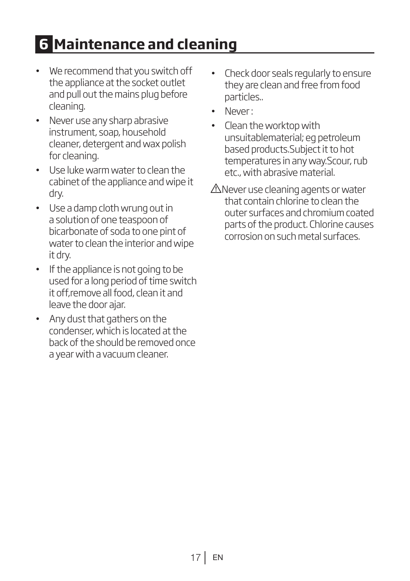# **6 Maintenance and cleaning**

- We recommend that you switch off the appliance at the socket outlet and pull out the mains plug before cleaning.
- Never use any sharp abrasive instrument, soap, household cleaner, detergent and wax polish for cleaning.
- Use luke warm water to clean the cabinet of the appliance and wipe it dry.
- Use a damp cloth wrung out in a solution of one teaspoon of bicarbonate of soda to one pint of water to clean the interior and wipe it dry.
- If the appliance is not going to be used for a long period of time switch it off,remove all food, clean it and leave the door ajar.
- Any dust that gathers on the condenser, which is located at the back of the should be removed once a year with a vacuum cleaner.
- Check door seals regularly to ensure they are clean and free from food particles..
- Never :
- Clean the worktop with unsuitablematerial; eg petroleum based products.Subject it to hot temperatures in any way.Scour, rub etc., with abrasive material.
- ANever use cleaning agents or water that contain chlorine to clean the outer surfaces and chromium coated parts of the product. Chlorine causes corrosion on such metal surfaces.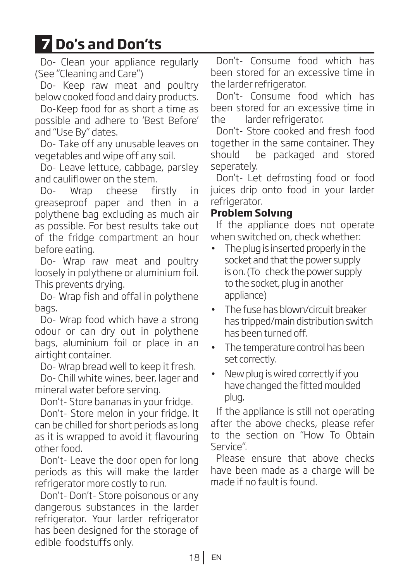# **7 Do's and Don'ts**

Do- Clean your appliance regularly (See "Cleaning and Care")

Do- Keep raw meat and poultry below cooked food and dairy products.

Do-Keep food for as short a time as possible and adhere to 'Best Before' and "Use By" dates.

Do- Take off any unusable leaves on vegetables and wipe off any soil.

Do- Leave lettuce, cabbage, parsley and cauliflower on the stem.

Do- Wrap cheese firstly in greaseproof paper and then in a polythene bag excluding as much air as possible. For best results take out of the fridge compartment an hour before eating.

Do- Wrap raw meat and poultry loosely in polythene or aluminium foil. This prevents drying.

Do- Wrap fish and offal in polythene bags.

Do- Wrap food which have a strong odour or can dry out in polythene bags, aluminium foil or place in an airtight container.

Do- Wrap bread well to keep it fresh.

Do- Chill white wines, beer, lager and mineral water before serving.

Don't- Store bananas in your fridge.

Don't- Store melon in your fridge. It can be chilled for short periods as long as it is wrapped to avoid it flavouring other food.

Don't- Leave the door open for long periods as this will make the larder refrigerator more costly to run.

Don't- Don't- Store poisonous or any dangerous substances in the larder refrigerator. Your larder refrigerator has been designed for the storage of edible foodstuffs only.

Don't- Consume food which has been stored for an excessive time in the larder refrigerator.

Don't- Consume food which has been stored for an excessive time in the larder refrigerator.

Don't- Store cooked and fresh food together in the same container. They should be packaged and stored seperately.

Don't- Let defrosting food or food juices drip onto food in your larder refrigerator.

## **Problem Solvıng**

If the appliance does not operate when switched on, check whether:

- The plug is inserted properly in the socket and that the power supply is on. (To check the power supply to the socket, plug in another appliance)
- The fuse has blown/circuit breaker has tripped/main distribution switch has been turned off.
- The temperature control has been set correctly.
- New plug is wired correctly if you have changed the fitted moulded plug.

If the appliance is still not operating after the above checks, please refer to the section on "How To Obtain Service".

Please ensure that above checks have been made as a charge will be made if no fault is found.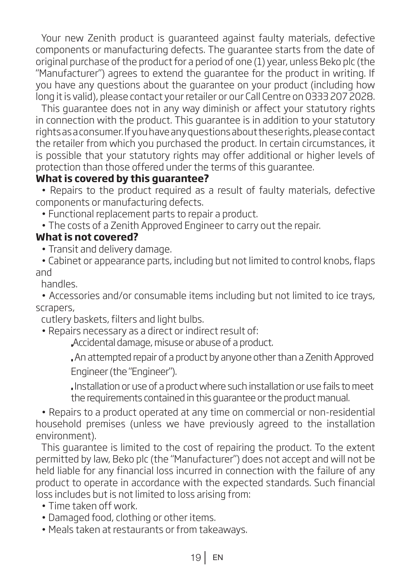Your new Zenith product is guaranteed against faulty materials, defective components or manufacturing defects. The guarantee starts from the date of original purchase of the product for a period of one (1) year, unless Beko plc (the "Manufacturer") agrees to extend the guarantee for the product in writing. If you have any questions about the guarantee on your product (including how long it is valid), please contact your retailer or our Call Centre on 0333 207 2028.

This guarantee does not in any way diminish or affect your statutory rights in connection with the product. This guarantee is in addition to your statutory rights as a consumer. If you have any questions about these rights, please contact the retailer from which you purchased the product. In certain circumstances, it is possible that your statutory rights may offer additional or higher levels of protection than those offered under the terms of this guarantee.

## **What is covered by this guarantee?**

• Repairs to the product required as a result of faulty materials, defective components or manufacturing defects.

• Functional replacement parts to repair a product.

• The costs of a Zenith Approved Engineer to carry out the repair.

### **What is not covered?**

• Transit and delivery damage.

• Cabinet or appearance parts, including but not limited to control knobs, flaps and

handles.

• Accessories and/or consumable items including but not limited to ice trays, scrapers,

cutlery baskets, filters and light bulbs.

• Repairs necessary as a direct or indirect result of:

Accidental damage, misuse or abuse of a product.

 An attempted repair of a product by anyone other than a Zenith Approved Engineer (the "Engineer").

Installation or use of a product where such installation or use fails to meet the requirements contained in this guarantee or the product manual.

• Repairs to a product operated at any time on commercial or non-residential household premises (unless we have previously agreed to the installation environment).

This guarantee is limited to the cost of repairing the product. To the extent permitted by law, Beko plc (the "Manufacturer") does not accept and will not be held liable for any financial loss incurred in connection with the failure of any product to operate in accordance with the expected standards. Such financial loss includes but is not limited to loss arising from:

• Time taken off work.

- Damaged food, clothing or other items.
- Meals taken at restaurants or from takeaways.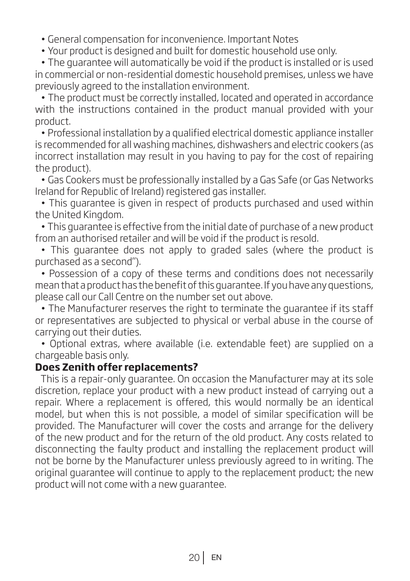• General compensation for inconvenience. Important Notes

• Your product is designed and built for domestic household use only.

• The guarantee will automatically be void if the product is installed or is used in commercial or non-residential domestic household premises, unless we have previously agreed to the installation environment.

• The product must be correctly installed, located and operated in accordance with the instructions contained in the product manual provided with your product.

• Professional installation by a qualified electrical domestic appliance installer is recommended for all washing machines, dishwashers and electric cookers (as incorrect installation may result in you having to pay for the cost of repairing the product).

• Gas Cookers must be professionally installed by a Gas Safe (or Gas Networks Ireland for Republic of Ireland) registered gas installer.

• This guarantee is given in respect of products purchased and used within the United Kingdom.

• This guarantee is effective from the initial date of purchase of a new product from an authorised retailer and will be void if the product is resold.

• This guarantee does not apply to graded sales (where the product is purchased as a second").

• Possession of a copy of these terms and conditions does not necessarily mean that a product has the benefit of this guarantee. If you have any questions, please call our Call Centre on the number set out above.

• The Manufacturer reserves the right to terminate the guarantee if its staff or representatives are subjected to physical or verbal abuse in the course of carrying out their duties.

• Optional extras, where available (i.e. extendable feet) are supplied on a chargeable basis only.

#### **Does Zenith offer replacements?**

This is a repair-only guarantee. On occasion the Manufacturer may at its sole discretion, replace your product with a new product instead of carrying out a repair. Where a replacement is offered, this would normally be an identical model, but when this is not possible, a model of similar specification will be provided. The Manufacturer will cover the costs and arrange for the delivery of the new product and for the return of the old product. Any costs related to disconnecting the faulty product and installing the replacement product will not be borne by the Manufacturer unless previously agreed to in writing. The original guarantee will continue to apply to the replacement product; the new product will not come with a new guarantee.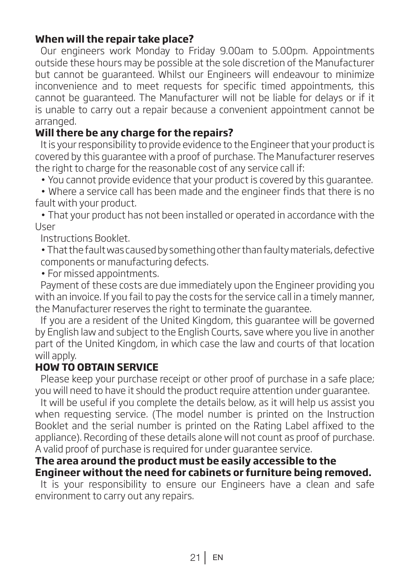### **When will the repair take place?**

Our engineers work Monday to Friday 9.00am to 5.00pm. Appointments outside these hours may be possible at the sole discretion of the Manufacturer but cannot be guaranteed. Whilst our Engineers will endeavour to minimize inconvenience and to meet requests for specific timed appointments, this cannot be guaranteed. The Manufacturer will not be liable for delays or if it is unable to carry out a repair because a convenient appointment cannot be arranged.

### **Will there be any charge for the repairs?**

It is your responsibility to provide evidence to the Engineer that your product is covered by this guarantee with a proof of purchase. The Manufacturer reserves the right to charge for the reasonable cost of any service call if:

• You cannot provide evidence that your product is covered by this guarantee.

• Where a service call has been made and the engineer finds that there is no fault with your product.

• That your product has not been installed or operated in accordance with the User

Instructions Booklet.

• That the fault was caused by something other than faulty materials, defective components or manufacturing defects.

• For missed appointments.

Payment of these costs are due immediately upon the Engineer providing you with an invoice. If you fail to pay the costs for the service call in a timely manner, the Manufacturer reserves the right to terminate the guarantee.

If you are a resident of the United Kingdom, this guarantee will be governed by English law and subject to the English Courts, save where you live in another part of the United Kingdom, in which case the law and courts of that location will apply.

#### **HOW TO OBTAIN SERVICE**

Please keep your purchase receipt or other proof of purchase in a safe place; you will need to have it should the product require attention under guarantee.

It will be useful if you complete the details below, as it will help us assist you when requesting service. (The model number is printed on the Instruction Booklet and the serial number is printed on the Rating Label affixed to the appliance). Recording of these details alone will not count as proof of purchase. A valid proof of purchase is required for under guarantee service.

#### **The area around the product must be easily accessible to the Engineer without the need for cabinets or furniture being removed.**

It is your responsibility to ensure our Engineers have a clean and safe environment to carry out any repairs.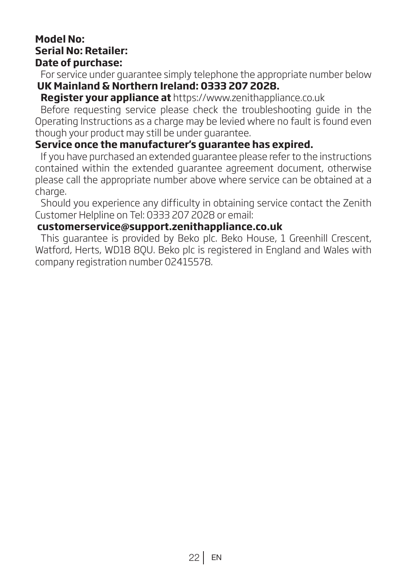#### **Model No: Serial No: Retailer: Date of purchase:**

For service under guarantee simply telephone the appropriate number below  **UK Mainland & Northern Ireland: 0333 207 2028.**

#### **Register your appliance at** https://www.zenithappliance.co.uk

Before requesting service please check the troubleshooting guide in the Operating Instructions as a charge may be levied where no fault is found even though your product may still be under guarantee.

#### **Service once the manufacturer's guarantee has expired.**

If you have purchased an extended guarantee please refer to the instructions contained within the extended guarantee agreement document, otherwise please call the appropriate number above where service can be obtained at a charge.

Should you experience any difficulty in obtaining service contact the Zenith Customer Helpline on Tel: 0333 207 2028 or email:

#### **customerservice@support.zenithappliance.co.uk**

This guarantee is provided by Beko plc. Beko House, 1 Greenhill Crescent, Watford, Herts, WD18 8QU. Beko plc is registered in England and Wales with company registration number 02415578.